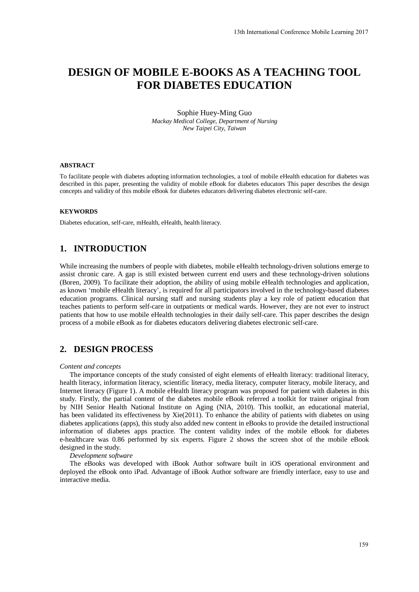# **DESIGN OF MOBILE E-BOOKS AS A TEACHING TOOL FOR DIABETES EDUCATION**

### Sophie Huey-Ming Guo *Mackay Medical College, Department of Nursing New Taipei City, Taiwan*

### **ABSTRACT**

To facilitate people with diabetes adopting information technologies, a tool of mobile eHealth education for diabetes was described in this paper, presenting the validity of mobile eBook for diabetes educators This paper describes the design concepts and validity of this mobile eBook for diabetes educators delivering diabetes electronic self-care.

### **KEYWORDS**

Diabetes education, self-care, mHealth, eHealth, health literacy.

### **1. INTRODUCTION**

While increasing the numbers of people with diabetes, mobile eHealth technology-driven solutions emerge to assist chronic care. A gap is still existed between current end users and these technology-driven solutions (Boren, 2009). To facilitate their adoption, the ability of using mobile eHealth technologies and application, as known 'mobile eHealth literacy', is required for all participators involved in the technology-based diabetes education programs. Clinical nursing staff and nursing students play a key role of patient education that teaches patients to perform self-care in outpatients or medical wards. However, they are not ever to instruct patients that how to use mobile eHealth technologies in their daily self-care. This paper describes the design process of a mobile eBook as for diabetes educators delivering diabetes electronic self-care.

### **2. DESIGN PROCESS**

#### *Content and concepts*

The importance concepts of the study consisted of eight elements of eHealth literacy: traditional literacy, health literacy, information literacy, scientific literacy, media literacy, computer literacy, mobile literacy, and Internet literacy (Figure 1). A mobile eHealth literacy program was proposed for patient with diabetes in this study. Firstly, the partial content of the diabetes mobile eBook referred a toolkit for trainer original from by NIH Senior Health National Institute on Aging (NIA, 2010). This toolkit, an educational material, has been validated its effectiveness by Xie(2011). To enhance the ability of patients with diabetes on using diabetes applications (apps), this study also added new content in eBooks to provide the detailed instructional information of diabetes apps practice. The content validity index of the mobile eBook for diabetes e-healthcare was 0.86 performed by six experts. Figure 2 shows the screen shot of the mobile eBook designed in the study.

#### *Development software*

The eBooks was developed with iBook Author software built in iOS operational environment and deployed the eBook onto iPad. Advantage of iBook Author software are friendly interface, easy to use and interactive media.